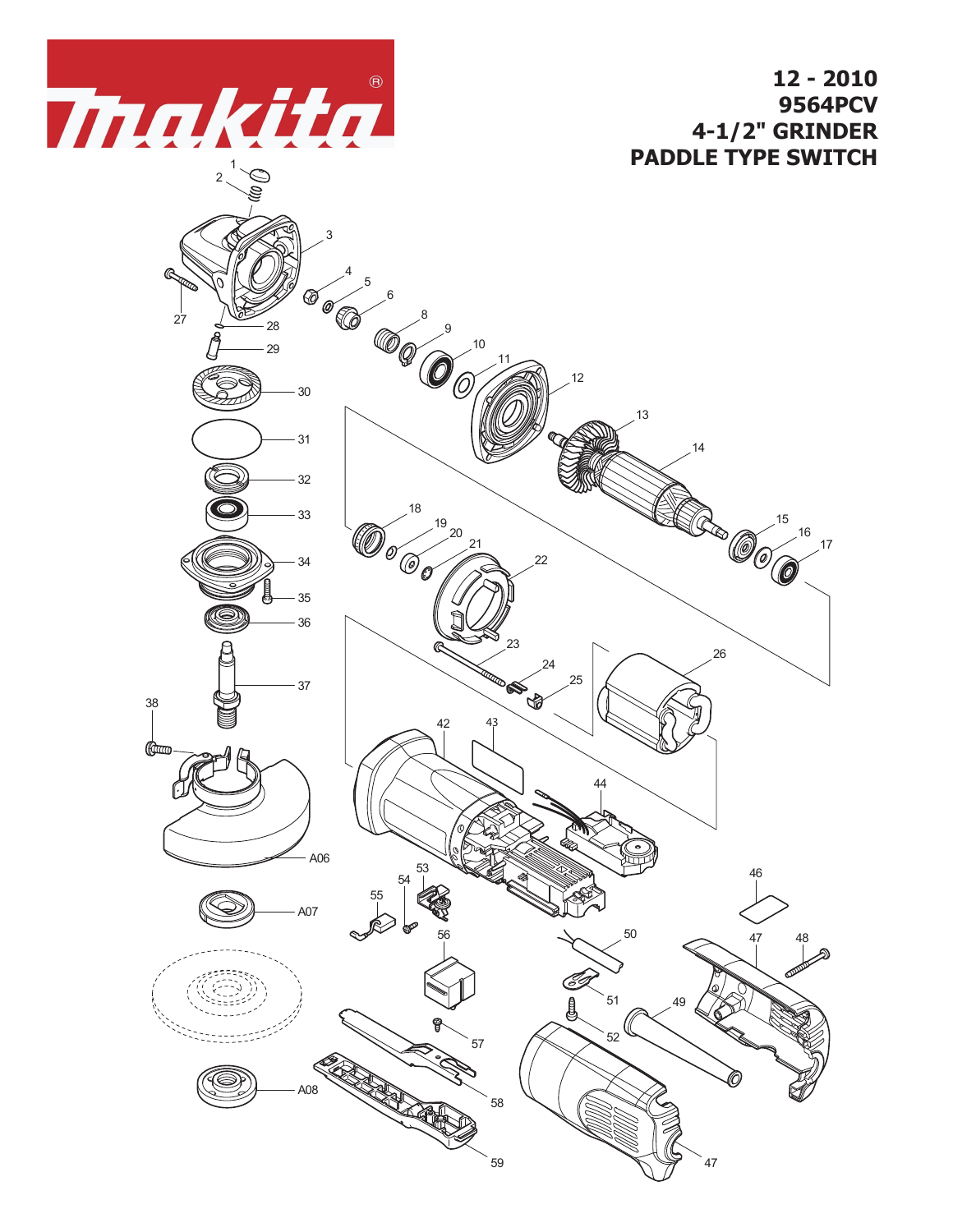

**12 - 2010 9564PCV 4-1/2" GRINDER PADDLE TYPE SWITCH**

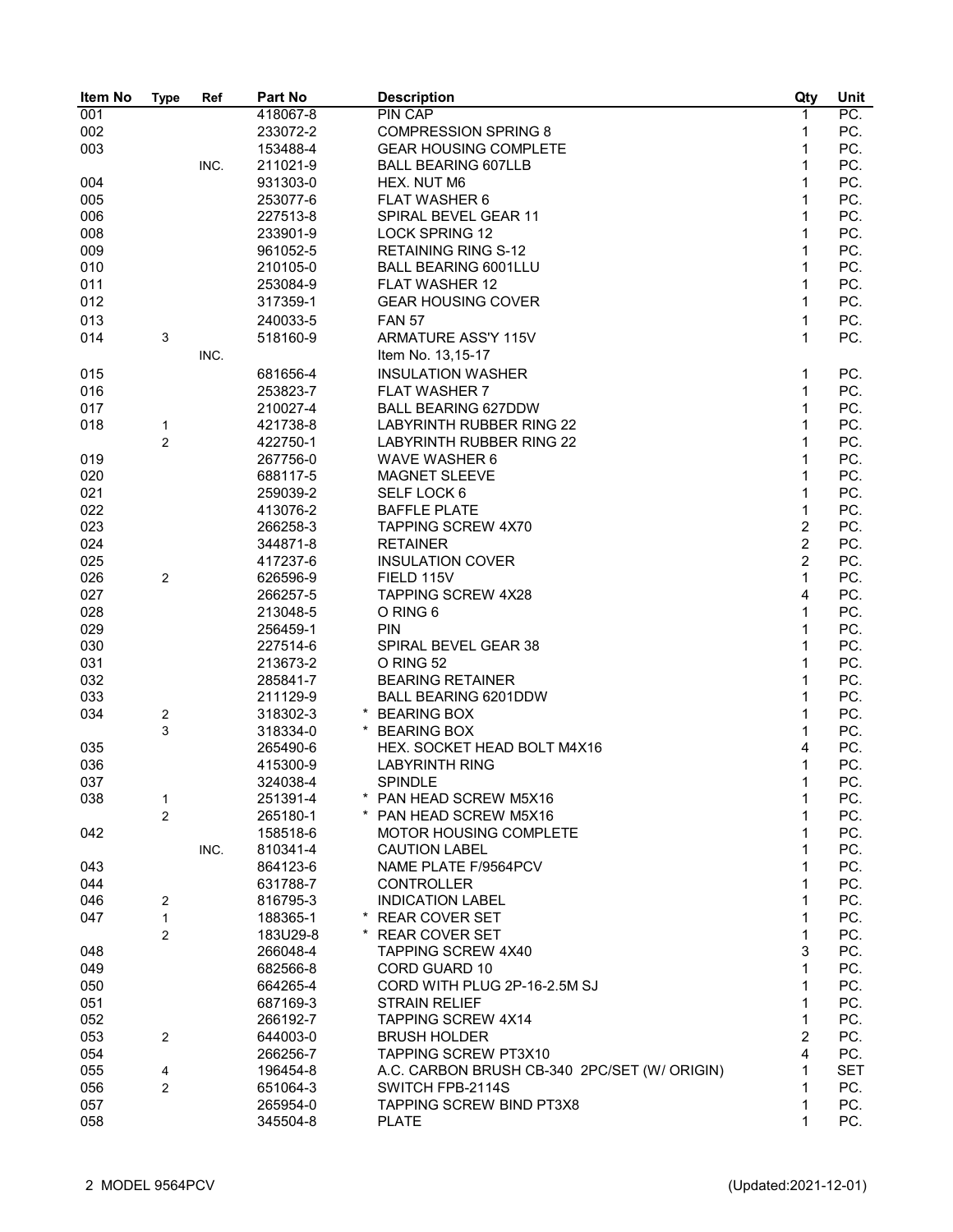| Item No | <b>Type</b>             | Ref  | Part No  | <b>Description</b>                           | Qty            | Unit       |
|---------|-------------------------|------|----------|----------------------------------------------|----------------|------------|
| 001     |                         |      | 418067-8 | <b>PIN CAP</b>                               | 1              | PC.        |
| 002     |                         |      | 233072-2 | <b>COMPRESSION SPRING 8</b>                  | 1              | PC.        |
| 003     |                         |      | 153488-4 | <b>GEAR HOUSING COMPLETE</b>                 | 1              | PC.        |
|         |                         | INC. | 211021-9 | <b>BALL BEARING 607LLB</b>                   | 1              | PC.        |
| 004     |                         |      | 931303-0 | HEX. NUT M6                                  | 1              | PC.        |
| 005     |                         |      | 253077-6 | <b>FLAT WASHER 6</b>                         | 1              | PC.        |
| 006     |                         |      | 227513-8 | SPIRAL BEVEL GEAR 11                         | 1              | PC.        |
| 008     |                         |      | 233901-9 | <b>LOCK SPRING 12</b>                        | 1              | PC.        |
| 009     |                         |      | 961052-5 | <b>RETAINING RING S-12</b>                   | 1              | PC.        |
| 010     |                         |      | 210105-0 | <b>BALL BEARING 6001LLU</b>                  | 1              | PC.        |
|         |                         |      |          |                                              |                |            |
| 011     |                         |      | 253084-9 | <b>FLAT WASHER 12</b>                        | 1              | PC.        |
| 012     |                         |      | 317359-1 | <b>GEAR HOUSING COVER</b>                    | 1              | PC.        |
| 013     |                         |      | 240033-5 | <b>FAN 57</b>                                | $\mathbf{1}$   | PC.        |
| 014     | $\mathbf{3}$            |      | 518160-9 | ARMATURE ASS'Y 115V                          | 1              | PC.        |
|         |                         | INC. |          | Item No. 13,15-17                            |                |            |
| 015     |                         |      | 681656-4 | <b>INSULATION WASHER</b>                     | 1              | PC.        |
| 016     |                         |      | 253823-7 | <b>FLAT WASHER 7</b>                         | 1              | PC.        |
| 017     |                         |      | 210027-4 | <b>BALL BEARING 627DDW</b>                   | 1              | PC.        |
| 018     | 1                       |      | 421738-8 | <b>LABYRINTH RUBBER RING 22</b>              | 1              | PC.        |
|         | $\overline{\mathbf{c}}$ |      | 422750-1 | <b>LABYRINTH RUBBER RING 22</b>              | 1              | PC.        |
| 019     |                         |      | 267756-0 | WAVE WASHER 6                                | 1              | PC.        |
| 020     |                         |      | 688117-5 | MAGNET SLEEVE                                | 1              | PC.        |
| 021     |                         |      | 259039-2 | SELF LOCK 6                                  | 1              | PC.        |
| 022     |                         |      | 413076-2 | <b>BAFFLE PLATE</b>                          | 1              | PC.        |
| 023     |                         |      | 266258-3 | <b>TAPPING SCREW 4X70</b>                    | 2              | PC.        |
| 024     |                         |      | 344871-8 | <b>RETAINER</b>                              | $\overline{c}$ | PC.        |
| 025     |                         |      | 417237-6 | <b>INSULATION COVER</b>                      | $\overline{c}$ | PC.        |
| 026     | $\sqrt{2}$              |      | 626596-9 | FIELD 115V                                   | 1              | PC.        |
| 027     |                         |      | 266257-5 | <b>TAPPING SCREW 4X28</b>                    | 4              | PC.        |
|         |                         |      |          |                                              |                |            |
| 028     |                         |      | 213048-5 | O RING 6                                     | 1              | PC.        |
| 029     |                         |      | 256459-1 | <b>PIN</b>                                   | 1              | PC.        |
| 030     |                         |      | 227514-6 | SPIRAL BEVEL GEAR 38                         | 1              | PC.        |
| 031     |                         |      | 213673-2 | O RING 52                                    | 1              | PC.        |
| 032     |                         |      | 285841-7 | <b>BEARING RETAINER</b>                      | 1              | PC.        |
| 033     |                         |      | 211129-9 | <b>BALL BEARING 6201DDW</b>                  | 1              | PC.        |
| 034     | $\sqrt{2}$              |      | 318302-3 | * BEARING BOX                                | 1              | PC.        |
|         | 3                       |      | 318334-0 | * BEARING BOX                                | 1              | PC.        |
| 035     |                         |      | 265490-6 | HEX. SOCKET HEAD BOLT M4X16                  | 4              | PC.        |
| 036     |                         |      | 415300-9 | <b>LABYRINTH RING</b>                        | 1              | PC.        |
| 037     |                         |      | 324038-4 | SPINDI F                                     | 1              | PC.        |
| 038     | 1                       |      | 251391-4 | * PAN HEAD SCREW M5X16                       | 1              | PC.        |
|         | 2                       |      | 265180-1 | * PAN HEAD SCREW M5X16                       | 1              | PC.        |
| 042     |                         |      | 158518-6 | <b>MOTOR HOUSING COMPLETE</b>                | 1              | PC.        |
|         |                         | INC. | 810341-4 | <b>CAUTION LABEL</b>                         | 1              | PC.        |
| 043     |                         |      | 864123-6 | NAME PLATE F/9564PCV                         | 1              | PC.        |
| 044     |                         |      | 631788-7 | <b>CONTROLLER</b>                            | 1              | PC.        |
| 046     | $\overline{c}$          |      | 816795-3 | <b>INDICATION LABEL</b>                      | 1              | PC.        |
| 047     | $\mathbf{1}$            |      | 188365-1 | * REAR COVER SET                             | 1              | PC.        |
|         | 2                       |      | 183U29-8 | * REAR COVER SET                             | 1              | PC.        |
| 048     |                         |      | 266048-4 | <b>TAPPING SCREW 4X40</b>                    | 3              | PC.        |
| 049     |                         |      | 682566-8 | CORD GUARD 10                                | 1              | PC.        |
| 050     |                         |      | 664265-4 | CORD WITH PLUG 2P-16-2.5M SJ                 | 1              | PC.        |
| 051     |                         |      | 687169-3 | <b>STRAIN RELIEF</b>                         | 1              | PC.        |
| 052     |                         |      | 266192-7 | <b>TAPPING SCREW 4X14</b>                    | 1              | PC.        |
| 053     | $\overline{c}$          |      | 644003-0 | <b>BRUSH HOLDER</b>                          | 2              | PC.        |
| 054     |                         |      | 266256-7 | TAPPING SCREW PT3X10                         | 4              | PC.        |
| 055     | $\overline{4}$          |      | 196454-8 | A.C. CARBON BRUSH CB-340 2PC/SET (W/ ORIGIN) | 1              | <b>SET</b> |
| 056     | 2                       |      | 651064-3 | SWITCH FPB-2114S                             | 1              | PC.        |
| 057     |                         |      | 265954-0 | <b>TAPPING SCREW BIND PT3X8</b>              | 1              | PC.        |
| 058     |                         |      | 345504-8 | <b>PLATE</b>                                 | 1              | PC.        |
|         |                         |      |          |                                              |                |            |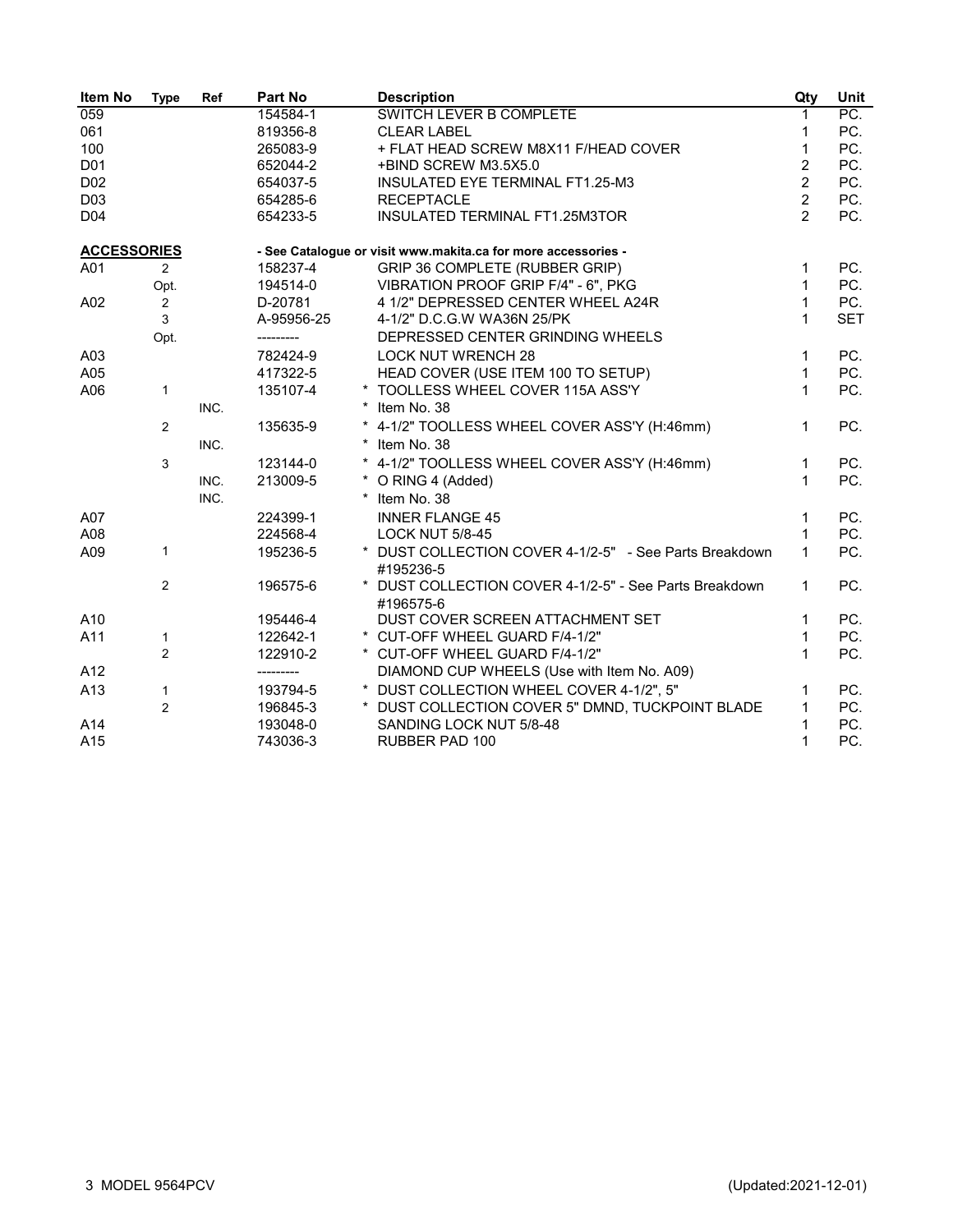| <b>Item No</b>     | <b>Type</b>    | Ref  | Part No    | <b>Description</b>                                                  | Qty            | <b>Unit</b> |
|--------------------|----------------|------|------------|---------------------------------------------------------------------|----------------|-------------|
| 059                |                |      | 154584-1   | <b>SWITCH LEVER B COMPLETE</b>                                      | 1              | PC.         |
| 061                |                |      | 819356-8   | <b>CLEAR LABEL</b>                                                  | 1              | PC.         |
| 100                |                |      | 265083-9   | + FLAT HEAD SCREW M8X11 F/HEAD COVER                                | $\mathbf{1}$   | PC.         |
| D <sub>01</sub>    |                |      | 652044-2   | +BIND SCREW M3.5X5.0                                                | $\overline{2}$ | PC.         |
| D <sub>02</sub>    |                |      | 654037-5   | INSULATED EYE TERMINAL FT1.25-M3                                    | $\overline{2}$ | PC.         |
| D <sub>0</sub> 3   |                |      | 654285-6   | <b>RECEPTACLE</b>                                                   | $\overline{2}$ | PC.         |
| D <sub>04</sub>    |                |      | 654233-5   | INSULATED TERMINAL FT1.25M3TOR                                      | $\mathcal{P}$  | PC.         |
| <b>ACCESSORIES</b> |                |      |            | - See Catalogue or visit www.makita.ca for more accessories -       |                |             |
| A01                | $\overline{2}$ |      | 158237-4   | GRIP 36 COMPLETE (RUBBER GRIP)                                      | 1              | PC.         |
|                    | Opt.           |      | 194514-0   | VIBRATION PROOF GRIP F/4" - 6", PKG                                 | $\mathbf{1}$   | PC.         |
| A02                | $\overline{c}$ |      | D-20781    | 4 1/2" DEPRESSED CENTER WHEEL A24R                                  | $\mathbf{1}$   | PC.         |
|                    | 3              |      | A-95956-25 | 4-1/2" D.C.G.W WA36N 25/PK                                          | $\mathbf{1}$   | <b>SET</b>  |
|                    | Opt.           |      | ---------  | DEPRESSED CENTER GRINDING WHEELS                                    |                |             |
| A03                |                |      | 782424-9   | <b>LOCK NUT WRENCH 28</b>                                           | $\mathbf{1}$   | PC.         |
| A05                |                |      | 417322-5   | HEAD COVER (USE ITEM 100 TO SETUP)                                  | $\mathbf{1}$   | PC.         |
| A06                | $\mathbf{1}$   |      | 135107-4   | * TOOLLESS WHEEL COVER 115A ASS'Y                                   | $\mathbf{1}$   | PC.         |
|                    |                | INC. |            | Item No. 38                                                         |                |             |
|                    | $\overline{2}$ |      | 135635-9   | 4-1/2" TOOLLESS WHEEL COVER ASS'Y (H:46mm)                          | 1              | PC.         |
|                    |                | INC. |            | Item No. 38                                                         |                |             |
|                    | 3              |      | 123144-0   | * 4-1/2" TOOLLESS WHEEL COVER ASS'Y (H:46mm)                        | 1              | PC.         |
|                    |                | INC. | 213009-5   | O RING 4 (Added)                                                    | $\mathbf{1}$   | PC.         |
|                    |                | INC. |            | * Item No. 38                                                       |                |             |
| A07                |                |      | 224399-1   | <b>INNER FLANGE 45</b>                                              | 1              | PC.         |
| A08                |                |      | 224568-4   | <b>LOCK NUT 5/8-45</b>                                              | $\mathbf{1}$   | PC.         |
| A09                | $\mathbf{1}$   |      | 195236-5   | * DUST COLLECTION COVER 4-1/2-5" - See Parts Breakdown<br>#195236-5 | $\mathbf{1}$   | PC.         |
|                    | 2              |      | 196575-6   | DUST COLLECTION COVER 4-1/2-5" - See Parts Breakdown<br>#196575-6   | $\mathbf 1$    | PC.         |
| A10                |                |      | 195446-4   | DUST COVER SCREEN ATTACHMENT SET                                    | $\mathbf 1$    | PC.         |
| A11                | 1              |      | 122642-1   | * CUT-OFF WHEEL GUARD F/4-1/2"                                      | 1              | PC.         |
|                    | $\overline{2}$ |      | 122910-2   | * CUT-OFF WHEEL GUARD F/4-1/2"                                      | $\mathbf{1}$   | PC.         |
| A12                |                |      | ---------  | DIAMOND CUP WHEELS (Use with Item No. A09)                          |                |             |
| A13                | $\mathbf{1}$   |      | 193794-5   | * DUST COLLECTION WHEEL COVER 4-1/2", 5"                            | 1              | PC.         |
|                    | $\overline{2}$ |      | 196845-3   | * DUST COLLECTION COVER 5" DMND, TUCKPOINT BLADE                    | 1              | PC.         |
| A14                |                |      | 193048-0   | SANDING LOCK NUT 5/8-48                                             | $\mathbf{1}$   | PC.         |
| A15                |                |      | 743036-3   | <b>RUBBER PAD 100</b>                                               | $\mathbf{1}$   | PC.         |